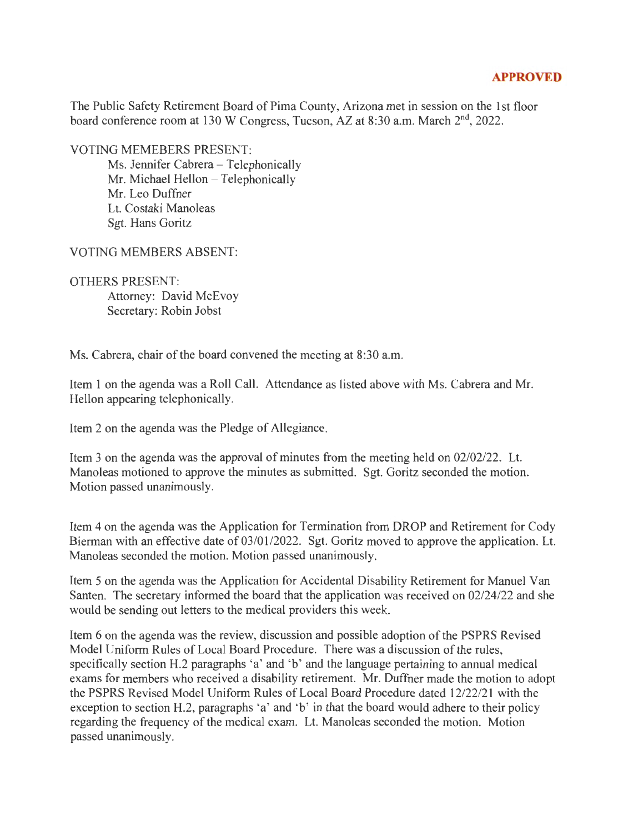## **APPROVED**

The Public Safety Retirement Board of Pima County, Arizona met in session on the 1st floor board conference room at 130 W Congress, Tucson, AZ at 8:30 a.m. March  $2<sup>nd</sup>$ , 2022.

VOTING MEMEBERS PRESENT:

Ms. Jennifer Cabrera - Telephonically Mr. Michael Hellon - Telephonically Mr. Leo Duffner Lt. Costaki Manoleas Sgt. Hans Goritz

VOTING MEMBERS ABSENT:

OTHERS PRESENT:

Attorney: David McEvoy Secretary: Robin Jobst

Ms. Cabrera, chair of the board convened the meeting at 8:30 a.m.

Item 1 on the agenda was a Roll Call. Attendance as listed above with Ms. Cabrera and Mr. Hellon appearing telephonically.

Item 2 on the agenda was the Pledge of Allegiance.

Item 3 on the agenda was the approval of minutes from the meeting held on 02/02/22. Lt. Manoleas motioned to approve the minutes as submitted. Sgt. Goritz seconded the motion. Motion passed unanimously.

Item 4 on the agenda was the Application for Termination from DROP and Retirement for Cody Bierman with an effective date of 03/01/2022. Sgt. Goritz moved to approve the application. Lt. Manoleas seconded the motion. Motion passed unanimously.

Item 5 on the agenda was the Application for Accidental Disability Retirement for Manuel Van Santen. The secretary informed the board that the application was received on 02/24/22 and she would be sending out letters to the medical providers this week.

Item 6 on the agenda was the review, discussion and possible adoption of the PSPRS Revised Model Uniform Rules of Local Board Procedure. There was a discussion of the rules, specifically section H.2 paragraphs 'a' and 'b' and the language pertaining to annual medical exams for members who received a disability retirement. Mr. Duffner made the motion to adopt the PSPRS Revised Model Uniform Rules of Local Board Procedure dated 12/22/21 with the exception to section H.2, paragraphs 'a' and 'b' in that the board would adhere to their policy regarding the frequency of the medical exam. Lt. Manoleas seconded the motion. Motion passed unanimously.